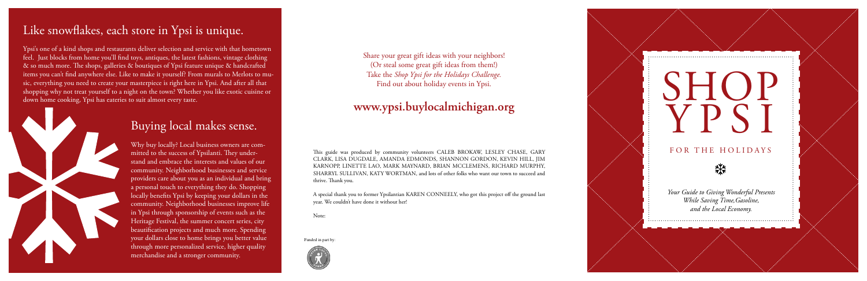# SHOP Y P S I

### FOR THE HOLIDAYS



*Your Guide to Giving Wonderful Presents While Saving Time,Gasoline, and the Local Economy.*

### Like snowflakes, each store in Ypsi is unique.

Ypsi's one of a kind shops and restaurants deliver selection and service with that hometown feel. Just blocks from home you'll find toys, antiques, the latest fashions, vintage clothing & so much more. The shops, galleries & boutiques of Ypsi feature unique & handcrafted items you can't find anywhere else. Like to make it yourself? From murals to Merlots to music, everything you need to create your masterpiece is right here in Ypsi. And after all that shopping why not treat yourself to a night on the town? Whether you like exotic cuisine or down home cooking, Ypsi has eateries to suit almost every taste.



### Buying local makes sense.

This guide was produced by community volunteers CALEB BROKAW, LESLEY CHASE, GARY Clark, Lisa Dugdale, Amanda Edmonds, Shannon Gordon, Kevin Hill, Jim Karnopp, Linette Lao, Mark Maynard, Brian McClemens, Richard Murphy, SHARRYL SULLIVAN, KATY WORTMAN, and lots of other folks who want our town to succeed and thrive. Thank you.

A special thank you to former Ypsilantian KAREN CONNEELY, who got this project off the ground last year. We couldn't have done it without her!

Why buy locally? Local business owners are committed to the success of Ypsilanti. They understand and embrace the interests and values of our community. Neighborhood businesses and service providers care about you as an individual and bring a personal touch to everything they do. Shopping locally benefits Ypsi by keeping your dollars in the community. Neighborhood businesses improve life in Ypsi through sponsorship of events such as the Heritage Festival, the summer concert series, city beautification projects and much more. Spending your dollars close to home brings you better value through more personalized service, higher quality merchandise and a stronger community.

Note:

Share your great gift ideas with your neighbors! (Or steal some great gift ideas from them!) Take the *Shop Ypsi for the Holidays Challenge.* Find out about holiday events in Ypsi.

### **www.ypsi.buylocalmichigan.org**

Funded in part by: